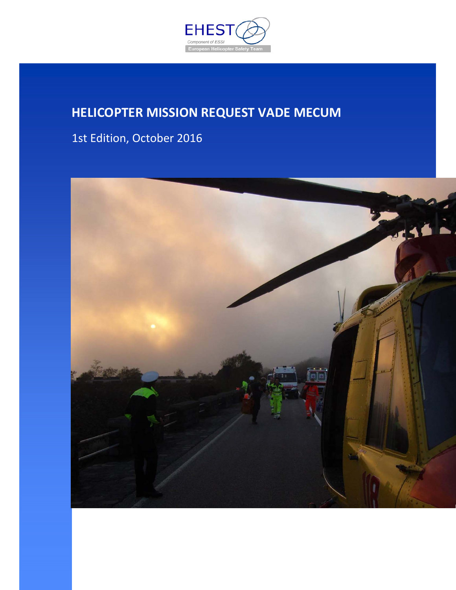

# **HELICOPTER MISSION REQUEST VADE MECUM**

1st Edition, October 2016

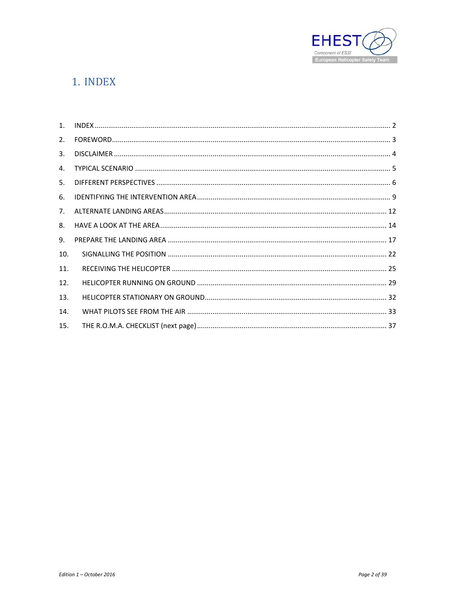

# 1. INDEX

| 2.  |  |
|-----|--|
| 3.  |  |
| 4.  |  |
| 5.  |  |
| 6.  |  |
| 7.  |  |
| 8.  |  |
| 9.  |  |
| 10. |  |
| 11. |  |
| 12. |  |
| 13. |  |
| 14. |  |
| 15. |  |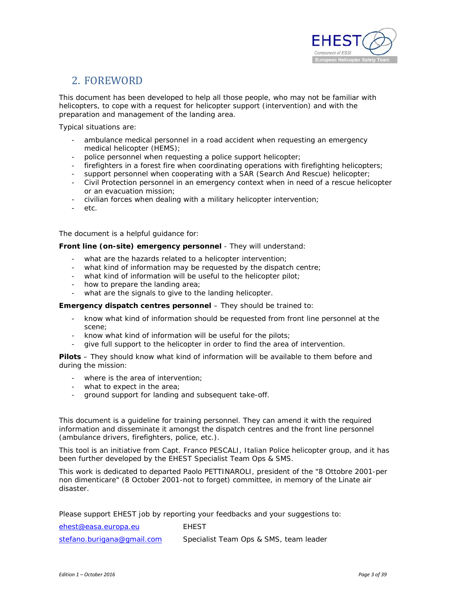

# 2. FOREWORD

This document has been developed to help all those people, who may not be familiar with helicopters, to cope with a request for helicopter support (intervention) and with the preparation and management of the landing area.

Typical situations are:

- ambulance medical personnel in a road accident when requesting an emergency medical helicopter (HEMS);
- police personnel when requesting a police support helicopter;
- firefighters in a forest fire when coordinating operations with firefighting helicopters;
- support personnel when cooperating with a SAR (Search And Rescue) helicopter;
- Civil Protection personnel in an emergency context when in need of a rescue helicopter or an evacuation mission;
- civilian forces when dealing with a military helicopter intervention;
- etc.

The document is a helpful guidance for:

#### **Front line (on-site) emergency personnel** - They will understand:

- what are the hazards related to a helicopter intervention;
- what kind of information may be requested by the dispatch centre;
- what kind of information will be useful to the helicopter pilot;
- how to prepare the landing area;
- what are the signals to give to the landing helicopter.

**Emergency dispatch centres personnel** – They should be trained to:

- know what kind of information should be requested from front line personnel at the scene;
- know what kind of information will be useful for the pilots;
- give full support to the helicopter in order to find the area of intervention.

**Pilots** – They should know what kind of information will be available to them before and during the mission:

- where is the area of intervention;
- what to expect in the area;
- ground support for landing and subsequent take-off.

This document is a guideline for training personnel. They can amend it with the required information and disseminate it amongst the dispatch centres and the front line personnel (ambulance drivers, firefighters, police, etc.).

This tool is an initiative from Capt. Franco PESCALI, Italian Police helicopter group, and it has been further developed by the EHEST Specialist Team Ops & SMS.

This work is dedicated to departed Paolo PETTINAROLI, president of the "8 Ottobre 2001-per non dimenticare" (8 October 2001-not to forget) committee, in memory of the Linate air disaster.

Please support EHEST job by reporting your feedbacks and your suggestions to:

| ehest@easa.europa.eu       | FHEST                                  |
|----------------------------|----------------------------------------|
| stefano.burigana@gmail.com | Specialist Team Ops & SMS, team leader |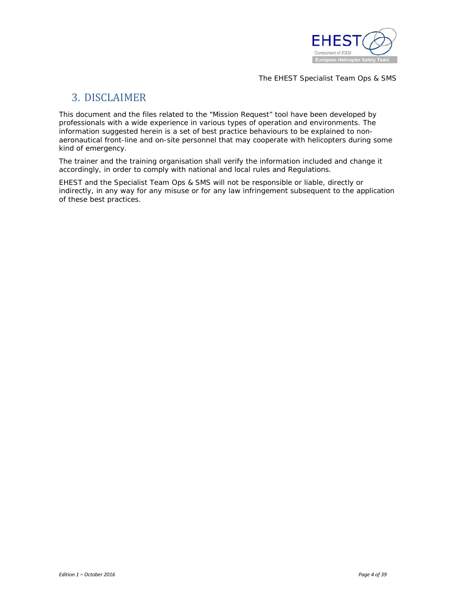

The EHEST Specialist Team Ops & SMS

### 3. DISCLAIMER

This document and the files related to the "Mission Request" tool have been developed by professionals with a wide experience in various types of operation and environments. The information suggested herein is a set of best practice behaviours to be explained to nonaeronautical front-line and on-site personnel that may cooperate with helicopters during some kind of emergency.

The trainer and the training organisation shall verify the information included and change it accordingly, in order to comply with national and local rules and Regulations.

EHEST and the Specialist Team Ops & SMS will not be responsible or liable, directly or indirectly, in any way for any misuse or for any law infringement subsequent to the application of these best practices.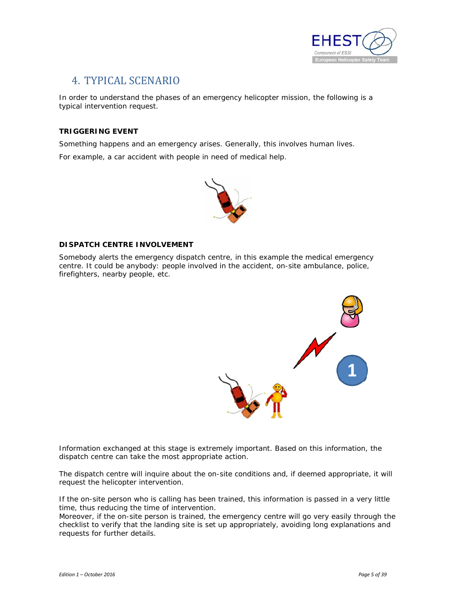

# 4. TYPICAL SCENARIO

In order to understand the phases of an emergency helicopter mission, the following is a typical intervention request.

#### **TRIGGERING EVENT**

Something happens and an emergency arises. Generally, this involves human lives.

For example, a car accident with people in need of medical help.



#### **DISPATCH CENTRE INVOLVEMENT**

Somebody alerts the emergency dispatch centre, in this example the medical emergency centre. It could be anybody: people involved in the accident, on-site ambulance, police, firefighters, nearby people, etc.



Information exchanged at this stage is extremely important. Based on this information, the dispatch centre can take the most appropriate action.

The dispatch centre will inquire about the on-site conditions and, if deemed appropriate, it will request the helicopter intervention.

If the on-site person who is calling has been trained, this information is passed in a very little time, thus reducing the time of intervention.

Moreover, if the on-site person is trained, the emergency centre will go very easily through the checklist to verify that the landing site is set up appropriately, avoiding long explanations and requests for further details.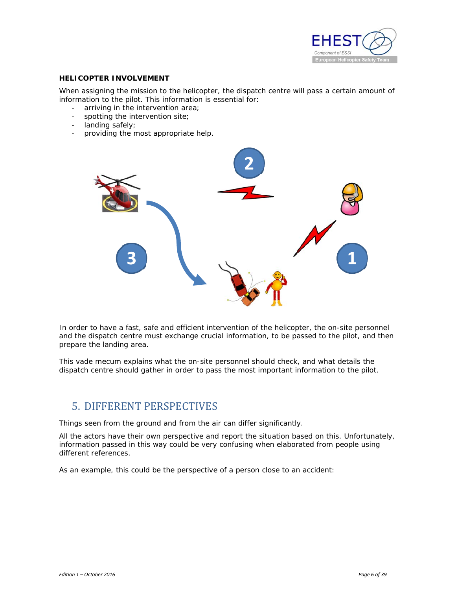

#### **HELICOPTER INVOLVEMENT**

When assigning the mission to the helicopter, the dispatch centre will pass a certain amount of information to the pilot. This information is essential for:

- arriving in the intervention area;
- spotting the intervention site;
- landing safely;
- providing the most appropriate help.



In order to have a fast, safe and efficient intervention of the helicopter, the on-site personnel and the dispatch centre must exchange crucial information, to be passed to the pilot, and then prepare the landing area.

This vade mecum explains what the on-site personnel should check, and what details the dispatch centre should gather in order to pass the most important information to the pilot.

### 5. DIFFERENT PERSPECTIVES

Things seen from the ground and from the air can differ significantly.

All the actors have their own perspective and report the situation based on this. Unfortunately, information passed in this way could be very confusing when elaborated from people using different references.

As an example, this could be the perspective of a person close to an accident: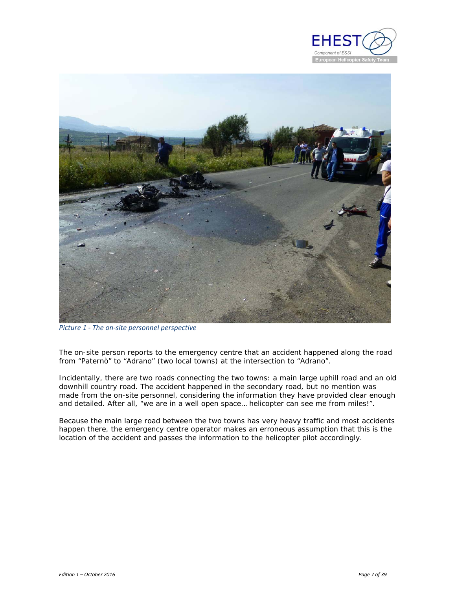



*Picture 1 - The on-site personnel perspective*

The on-site person reports to the emergency centre that an accident happened along the road from "Paternò" to "Adrano" (two local towns) at the intersection to "Adrano".

Incidentally, there are two roads connecting the two towns: a main large uphill road and an old downhill country road. The accident happened in the secondary road, but no mention was made from the on-site personnel, considering the information they have provided clear enough and detailed. After all, "we are in a well open space… helicopter can see me from miles!".

Because the main large road between the two towns has very heavy traffic and most accidents happen there, the emergency centre operator makes an erroneous assumption that this is the location of the accident and passes the information to the helicopter pilot accordingly.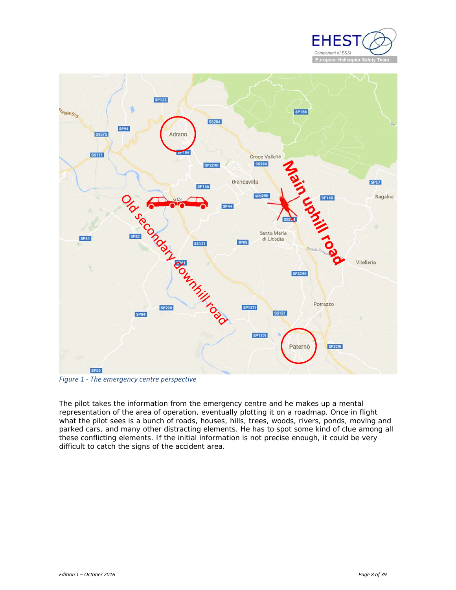



*Figure 1 - The emergency centre perspective* 

The pilot takes the information from the emergency centre and he makes up a mental representation of the area of operation, eventually plotting it on a roadmap. Once in flight what the pilot sees is a bunch of roads, houses, hills, trees, woods, rivers, ponds, moving and parked cars, and many other distracting elements. He has to spot some kind of clue among all these conflicting elements. If the initial information is not precise enough, it could be very difficult to catch the signs of the accident area.